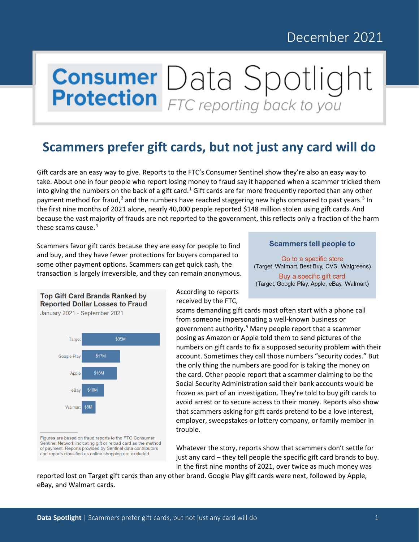## December 2021

# **Consumer** Data Spotlight

### **Scammers prefer gift cards, but not just any card will do**

Gift cards are an easy way to give. Reports to the FTC's Consumer Sentinel show they're also an easy way to take. About one in four people who report losing money to fraud say it happened when a scammer tricked them into giving the numbers on the back of a gift card.<sup>[1](#page-2-0)</sup> Gift cards are far more frequently reported than any other payment method for fraud,<sup>[2](#page-2-1)</sup> and the numbers have reached staggering new highs compared to past years.<sup>[3](#page-2-2)</sup> In the first nine months of 2021 alone, nearly 40,000 people reported \$148 million stolen using gift cards. And because the vast majority of frauds are not reported to the government, this reflects only a fraction of the harm these scams cause. [4](#page-2-3)

Scammers favor gift cards because they are easy for people to find and buy, and they have fewer protections for buyers compared to some other payment options. Scammers can get quick cash, the transaction is largely irreversible, and they can remain anonymous.

#### **Scammers tell people to**

Go to a specific store (Target, Walmart, Best Buy, CVS, Walgreens) Buy a specific gift card

(Target, Google Play, Apple, eBay, Walmart)





Figures are based on fraud reports to the FTC Consumer Sentinel Network indicating gift or reload card as the method of payment. Reports provided by Sentinel data contributors and reports classified as online shopping are excluded.

According to reports received by the FTC,

scams demanding gift cards most often start with a phone call from someone impersonating a well-known business or government authority.<sup>[5](#page-2-4)</sup> Many people report that a scammer posing as Amazon or Apple told them to send pictures of the numbers on gift cards to fix a supposed security problem with their account. Sometimes they call those numbers "security codes." But the only thing the numbers are good for is taking the money on the card. Other people report that a scammer claiming to be the Social Security Administration said their bank accounts would be frozen as part of an investigation. They're told to buy gift cards to avoid arrest or to secure access to their money. Reports also show that scammers asking for gift cards pretend to be a love interest, employer, sweepstakes or lottery company, or family member in trouble.

Whatever the story, reports show that scammers don't settle for just any card – they tell people the specific gift card brands to buy. In the first nine months of 2021, over twice as much money was

reported lost on Target gift cards than any other brand. Google Play gift cards were next, followed by Apple, eBay, and Walmart cards.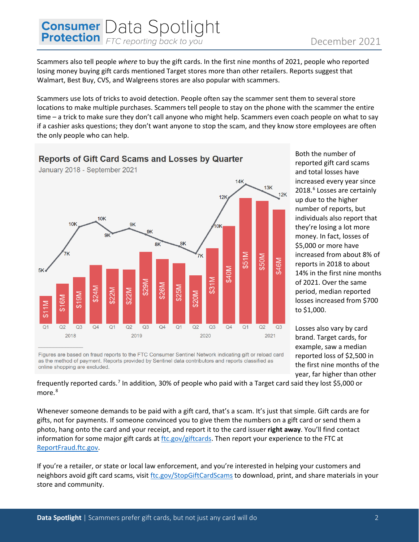# **Consumer** Data Spotlight

Scammers also tell people *where* to buy the gift cards. In the first nine months of 2021, people who reported losing money buying gift cards mentioned Target stores more than other retailers. Reports suggest that Walmart, Best Buy, CVS, and Walgreens stores are also popular with scammers.

Scammers use lots of tricks to avoid detection. People often say the scammer sent them to several store locations to make multiple purchases. Scammers tell people to stay on the phone with the scammer the entire time – a trick to make sure they don't call anyone who might help. Scammers even coach people on what to say if a cashier asks questions; they don't want anyone to stop the scam, and they know store employees are often the only people who can help.

#### **Reports of Gift Card Scams and Losses by Quarter**



Both the number of reported gift card scams and total losses have increased every year since 2018.<sup>[6](#page-2-5)</sup> Losses are certainly up due to the higher number of reports, but individuals also report that they're losing a lot more money. In fact, losses of \$5,000 or more have increased from about 8% of reports in 2018 to about 14% in the first nine months of 2021. Over the same period, median reported losses increased from \$700 to \$1,000.

Losses also vary by card brand. Target cards, for example, saw a median reported loss of \$2,500 in the first nine months of the year, far higher than other

Figures are based on fraud reports to the FTC Consumer Sentinel Network indicating gift or reload card as the method of payment. Reports provided by Sentinel data contributors and reports classified as online shopping are excluded.

frequently reported cards.<sup>[7](#page-2-6)</sup> In addition, 30% of people who paid with a Target card said they lost \$5,000 or more.<sup>[8](#page-2-7)</sup>

Whenever someone demands to be paid with a gift card, that's a scam. It's just that simple. Gift cards are for gifts, not for payments. If someone convinced you to give them the numbers on a gift card or send them a photo, hang onto the card and your receipt, and report it to the card issuer **right away**. You'll find contact information for some major gift cards at [ftc.gov/giftcards.](http://www.ftc.gov/giftcards) Then report your experience to the FTC at [ReportFraud.ftc.gov.](http://www.reportfraud.ftc.gov/)

If you're a retailer, or state or local law enforcement, and you're interested in helping your customers and neighbors avoid gift card scams, visit [ftc.gov/StopGiftCardScams](http://www.ftc.gov/stopgiftcardscams) to download, print, and share materials in your store and community.